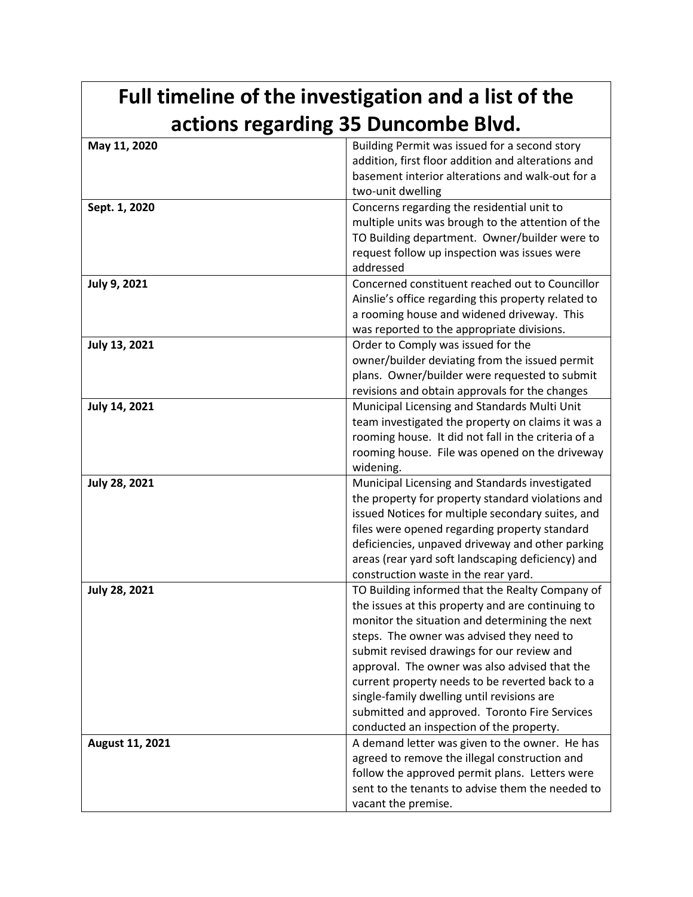## **Full timeline of the investigation and a list of the actions regarding 35 Duncombe Blvd.**

| May 11, 2020         | Building Permit was issued for a second story       |
|----------------------|-----------------------------------------------------|
|                      | addition, first floor addition and alterations and  |
|                      | basement interior alterations and walk-out for a    |
|                      | two-unit dwelling                                   |
| Sept. 1, 2020        | Concerns regarding the residential unit to          |
|                      | multiple units was brough to the attention of the   |
|                      | TO Building department. Owner/builder were to       |
|                      | request follow up inspection was issues were        |
|                      | addressed                                           |
| <b>July 9, 2021</b>  | Concerned constituent reached out to Councillor     |
|                      | Ainslie's office regarding this property related to |
|                      | a rooming house and widened driveway. This          |
|                      | was reported to the appropriate divisions.          |
| July 13, 2021        | Order to Comply was issued for the                  |
|                      | owner/builder deviating from the issued permit      |
|                      | plans. Owner/builder were requested to submit       |
|                      | revisions and obtain approvals for the changes      |
| July 14, 2021        | Municipal Licensing and Standards Multi Unit        |
|                      | team investigated the property on claims it was a   |
|                      | rooming house. It did not fall in the criteria of a |
|                      | rooming house. File was opened on the driveway      |
|                      | widening.                                           |
| <b>July 28, 2021</b> | Municipal Licensing and Standards investigated      |
|                      | the property for property standard violations and   |
|                      | issued Notices for multiple secondary suites, and   |
|                      | files were opened regarding property standard       |
|                      | deficiencies, unpaved driveway and other parking    |
|                      | areas (rear yard soft landscaping deficiency) and   |
|                      | construction waste in the rear yard.                |
| <b>July 28, 2021</b> | TO Building informed that the Realty Company of     |
|                      | the issues at this property and are continuing to   |
|                      | monitor the situation and determining the next      |
|                      | steps. The owner was advised they need to           |
|                      | submit revised drawings for our review and          |
|                      | approval. The owner was also advised that the       |
|                      | current property needs to be reverted back to a     |
|                      | single-family dwelling until revisions are          |
|                      | submitted and approved. Toronto Fire Services       |
|                      | conducted an inspection of the property.            |
| August 11, 2021      | A demand letter was given to the owner. He has      |
|                      | agreed to remove the illegal construction and       |
|                      | follow the approved permit plans. Letters were      |
|                      | sent to the tenants to advise them the needed to    |
|                      | vacant the premise.                                 |
|                      |                                                     |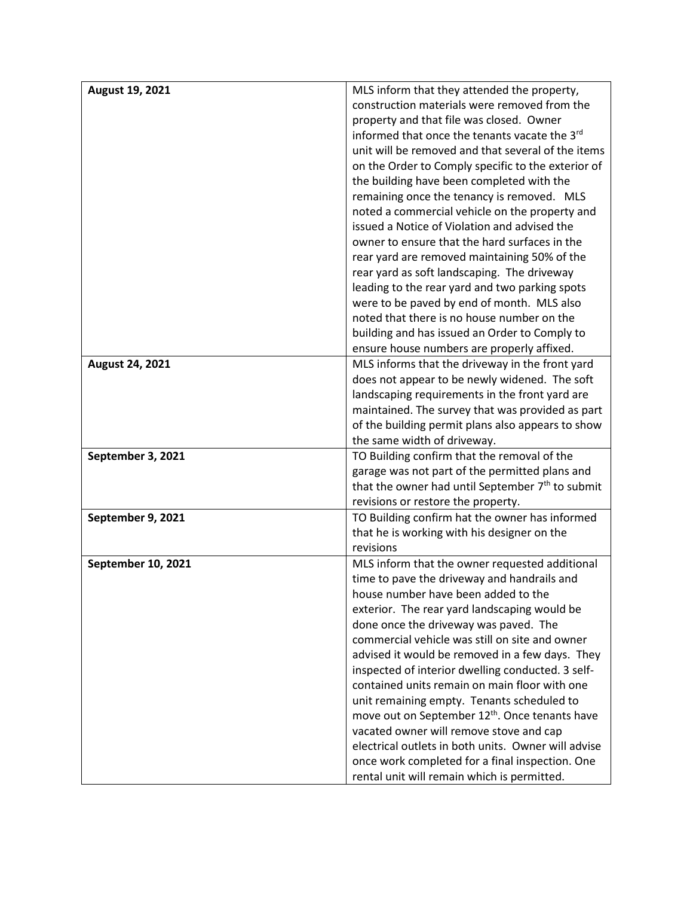| August 19, 2021    | MLS inform that they attended the property,                                                    |
|--------------------|------------------------------------------------------------------------------------------------|
|                    | construction materials were removed from the                                                   |
|                    | property and that file was closed. Owner                                                       |
|                    | informed that once the tenants vacate the 3rd                                                  |
|                    | unit will be removed and that several of the items                                             |
|                    | on the Order to Comply specific to the exterior of                                             |
|                    | the building have been completed with the                                                      |
|                    | remaining once the tenancy is removed. MLS                                                     |
|                    | noted a commercial vehicle on the property and                                                 |
|                    | issued a Notice of Violation and advised the                                                   |
|                    | owner to ensure that the hard surfaces in the                                                  |
|                    | rear yard are removed maintaining 50% of the                                                   |
|                    | rear yard as soft landscaping. The driveway                                                    |
|                    | leading to the rear yard and two parking spots                                                 |
|                    | were to be paved by end of month. MLS also                                                     |
|                    | noted that there is no house number on the                                                     |
|                    | building and has issued an Order to Comply to                                                  |
|                    | ensure house numbers are properly affixed.                                                     |
| August 24, 2021    | MLS informs that the driveway in the front yard                                                |
|                    | does not appear to be newly widened. The soft                                                  |
|                    | landscaping requirements in the front yard are                                                 |
|                    | maintained. The survey that was provided as part                                               |
|                    | of the building permit plans also appears to show                                              |
|                    | the same width of driveway.                                                                    |
| September 3, 2021  | TO Building confirm that the removal of the                                                    |
|                    | garage was not part of the permitted plans and                                                 |
|                    | that the owner had until September 7 <sup>th</sup> to submit                                   |
|                    | revisions or restore the property.                                                             |
| September 9, 2021  | TO Building confirm hat the owner has informed                                                 |
|                    |                                                                                                |
|                    | that he is working with his designer on the                                                    |
|                    | revisions                                                                                      |
| September 10, 2021 | MLS inform that the owner requested additional                                                 |
|                    | time to pave the driveway and handrails and                                                    |
|                    | house number have been added to the                                                            |
|                    | exterior. The rear yard landscaping would be                                                   |
|                    | done once the driveway was paved. The                                                          |
|                    | commercial vehicle was still on site and owner                                                 |
|                    | advised it would be removed in a few days. They                                                |
|                    | inspected of interior dwelling conducted. 3 self-                                              |
|                    | contained units remain on main floor with one                                                  |
|                    | unit remaining empty. Tenants scheduled to                                                     |
|                    | move out on September 12th. Once tenants have                                                  |
|                    | vacated owner will remove stove and cap                                                        |
|                    | electrical outlets in both units. Owner will advise                                            |
|                    | once work completed for a final inspection. One<br>rental unit will remain which is permitted. |